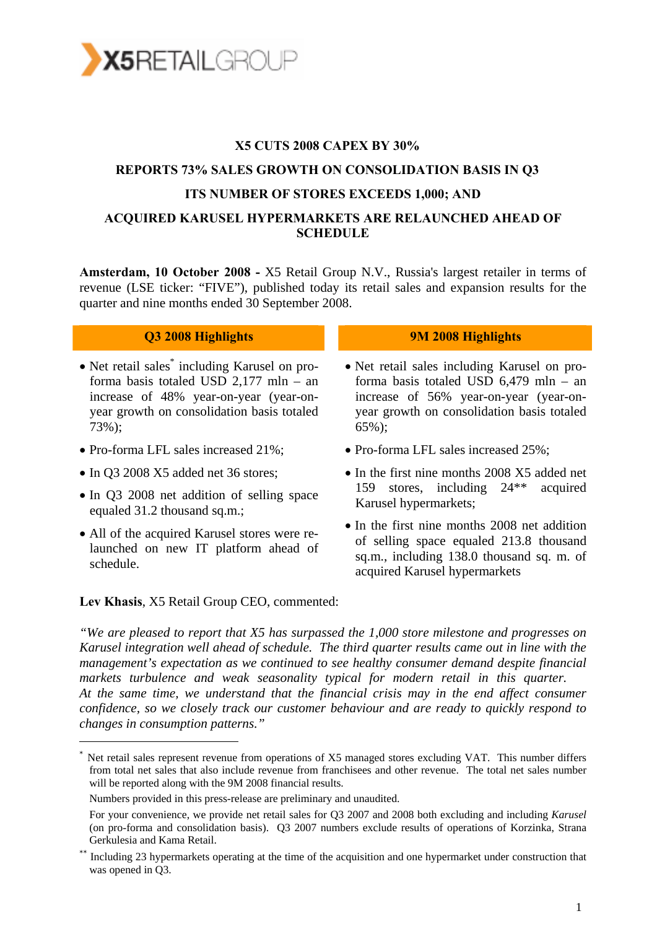

#### **X5 CUTS 2008 CAPEX BY 30%**

## **REPORTS 73% SALES GROWTH ON CONSOLIDATION BASIS IN Q3 ITS NUMBER OF STORES EXCEEDS 1,000; AND**

#### **ACQUIRED KARUSEL HYPERMARKETS ARE RELAUNCHED AHEAD OF SCHEDULE**

**Amsterdam, 10 October 2008 -** X5 Retail Group N.V., Russia's largest retailer in terms of revenue (LSE ticker: "FIVE"), published today its retail sales and expansion results for the quarter and nine months ended 30 September 2008.

- Net retail sales\* including Karusel on proforma basis totaled USD 2,177 mln – an increase of 48% year-on-year (year-onyear growth on consolidation basis totaled 73%);
- Pro-forma LFL sales increased 21%;
- In Q3 2008 X5 added net 36 stores;

-

- In Q3 2008 net addition of selling space equaled 31.2 thousand sq.m.;
- All of the acquired Karusel stores were relaunched on new IT platform ahead of schedule.

#### **Q3 2008 Highlights 9M 2008 Highlights**

- Net retail sales including Karusel on proforma basis totaled USD 6,479 mln – an increase of 56% year-on-year (year-onyear growth on consolidation basis totaled 65%);
- Pro-forma LFL sales increased 25%;
- In the first nine months 2008 X5 added net 159 stores, including 24\*\* acquired Karusel hypermarkets;
- In the first nine months 2008 net addition of selling space equaled 213.8 thousand sq.m., including 138.0 thousand sq. m. of acquired Karusel hypermarkets

#### **Lev Khasis**, X5 Retail Group CEO, commented:

*"We are pleased to report that X5 has surpassed the 1,000 store milestone and progresses on Karusel integration well ahead of schedule. The third quarter results came out in line with the management's expectation as we continued to see healthy consumer demand despite financial*  markets turbulence and weak seasonality typical for modern retail in this quarter. *At the same time, we understand that the financial crisis may in the end affect consumer confidence, so we closely track our customer behaviour and are ready to quickly respond to changes in consumption patterns."* 

Net retail sales represent revenue from operations of X5 managed stores excluding VAT. This number differs from total net sales that also include revenue from franchisees and other revenue. The total net sales number will be reported along with the 9M 2008 financial results.

Numbers provided in this press-release are preliminary and unaudited.

For your convenience, we provide net retail sales for Q3 2007 and 2008 both excluding and including *Karusel*  (on pro-forma and consolidation basis). Q3 2007 numbers exclude results of operations of Korzinka, Strana Gerkulesia and Kama Retail.

Including 23 hypermarkets operating at the time of the acquisition and one hypermarket under construction that was opened in Q3.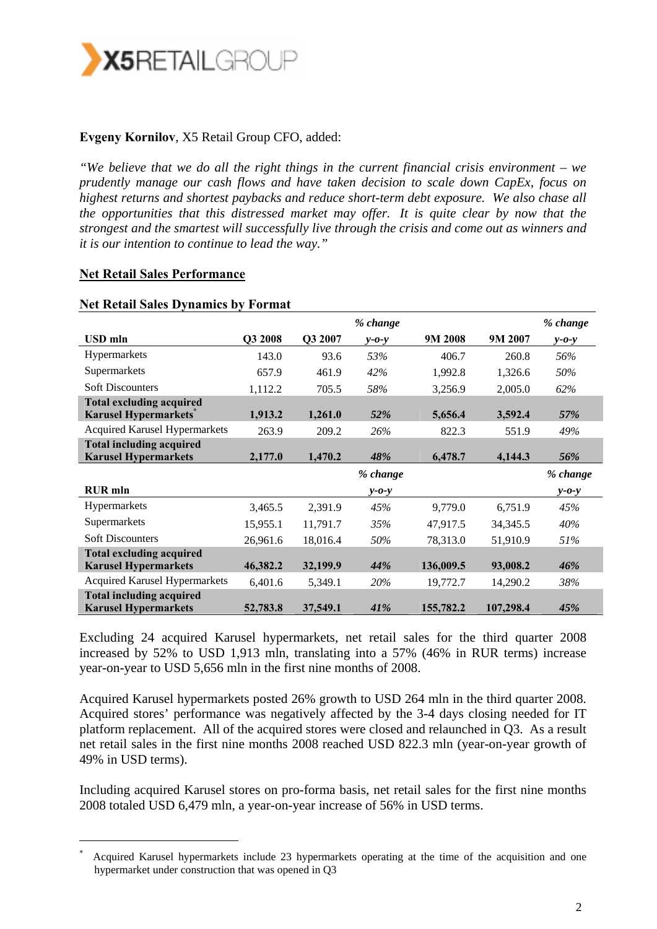

#### **Evgeny Kornilov**, X5 Retail Group CFO, added:

*"We believe that we do all the right things in the current financial crisis environment – we prudently manage our cash flows and have taken decision to scale down CapEx, focus on highest returns and shortest paybacks and reduce short-term debt exposure. We also chase all the opportunities that this distressed market may offer. It is quite clear by now that the strongest and the smartest will successfully live through the crisis and come out as winners and it is our intention to continue to lead the way."* 

#### **Net Retail Sales Performance**

-

|                                                                |          |          | % change    |           |           | % change    |
|----------------------------------------------------------------|----------|----------|-------------|-----------|-----------|-------------|
| USD mln                                                        | Q3 2008  | Q3 2007  | $y - 0 - y$ | 9M 2008   | 9M 2007   | $y$ -0-y    |
| Hypermarkets                                                   | 143.0    | 93.6     | 53%         | 406.7     | 260.8     | 56%         |
| Supermarkets                                                   | 657.9    | 461.9    | 42%         | 1,992.8   | 1,326.6   | 50%         |
| <b>Soft Discounters</b>                                        | 1,112.2  | 705.5    | 58%         | 3,256.9   | 2,005.0   | 62%         |
| <b>Total excluding acquired</b><br><b>Karusel Hypermarkets</b> | 1,913.2  | 1,261.0  | 52%         | 5,656.4   | 3,592.4   | 57%         |
| <b>Acquired Karusel Hypermarkets</b>                           | 263.9    | 209.2    | 26%         | 822.3     | 551.9     | 49%         |
| <b>Total including acquired</b><br><b>Karusel Hypermarkets</b> | 2,177.0  | 1,470.2  | 48%         | 6,478.7   | 4,144.3   | 56%         |
|                                                                |          |          |             |           |           |             |
|                                                                |          |          | % change    |           |           | % change    |
| <b>RUR</b> mln                                                 |          |          | $y - 0 - y$ |           |           | $y - 0 - y$ |
| <b>Hypermarkets</b>                                            | 3,465.5  | 2,391.9  | 45%         | 9,779.0   | 6,751.9   | 45%         |
| Supermarkets                                                   | 15,955.1 | 11,791.7 | 35%         | 47,917.5  | 34, 345.5 | 40%         |
| <b>Soft Discounters</b>                                        | 26,961.6 | 18,016.4 | 50%         | 78,313.0  | 51,910.9  | 51%         |
| <b>Total excluding acquired</b>                                |          |          |             |           |           |             |
| <b>Karusel Hypermarkets</b>                                    | 46,382.2 | 32,199.9 | 44%         | 136,009.5 | 93,008.2  | 46%         |
| <b>Acquired Karusel Hypermarkets</b>                           | 6,401.6  | 5,349.1  | 20%         | 19,772.7  | 14,290.2  | 38%         |

#### **Net Retail Sales Dynamics by Format**

Excluding 24 acquired Karusel hypermarkets, net retail sales for the third quarter 2008 increased by 52% to USD 1,913 mln, translating into a 57% (46% in RUR terms) increase year-on-year to USD 5,656 mln in the first nine months of 2008.

Acquired Karusel hypermarkets posted 26% growth to USD 264 mln in the third quarter 2008. Acquired stores' performance was negatively affected by the 3-4 days closing needed for IT platform replacement. All of the acquired stores were closed and relaunched in Q3. As a result net retail sales in the first nine months 2008 reached USD 822.3 mln (year-on-year growth of 49% in USD terms).

Including acquired Karusel stores on pro-forma basis, net retail sales for the first nine months 2008 totaled USD 6,479 mln, a year-on-year increase of 56% in USD terms.

<sup>\*</sup> Acquired Karusel hypermarkets include 23 hypermarkets operating at the time of the acquisition and one hypermarket under construction that was opened in Q3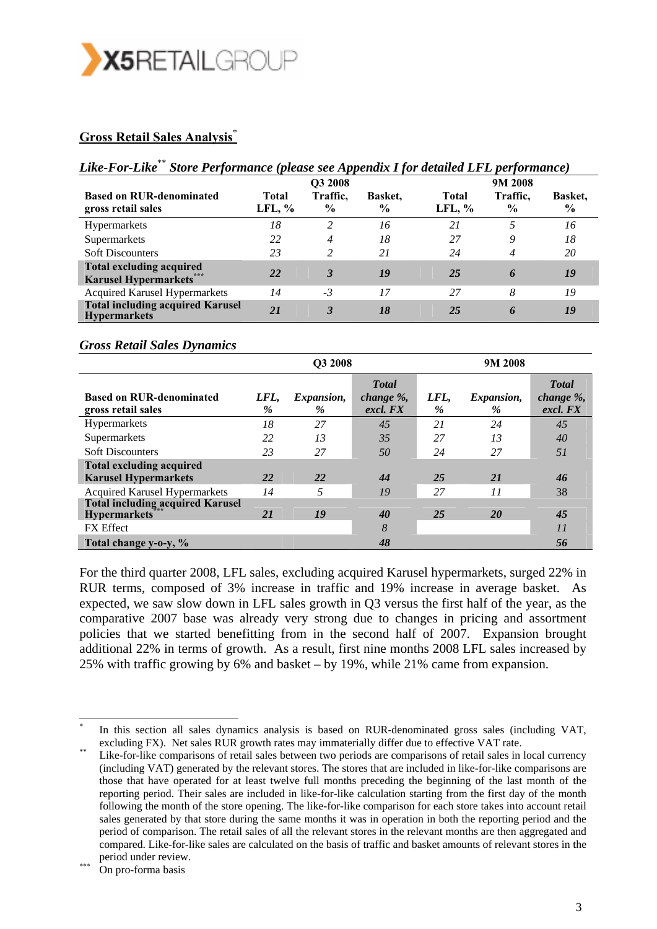

### **Gross Retail Sales Analysis**\*

## *Like-For-Like*\*\* *Store Performance (please see Appendix I for detailed LFL performance)*

|                                                                |                   | Q3 2008                   |                 |                    | 9M 2008                   |                                 |
|----------------------------------------------------------------|-------------------|---------------------------|-----------------|--------------------|---------------------------|---------------------------------|
| <b>Based on RUR-denominated</b><br>gross retail sales          | Total<br>LFL, $%$ | Traffic,<br>$\frac{6}{9}$ | Basket.<br>$\%$ | Total<br>LFL, $\%$ | Traffic,<br>$\frac{6}{9}$ | <b>Basket.</b><br>$\frac{6}{9}$ |
| <b>Hypermarkets</b>                                            | 18                | $\overline{c}$            | 16              | 21                 |                           | 16                              |
| Supermarkets                                                   | 22                | 4                         | 18              | 27                 | 9                         | 18                              |
| <b>Soft Discounters</b>                                        | 23                | $\overline{c}$            | 21              | 24                 | 4                         | 20                              |
| <b>Total excluding acquired</b><br><b>Karusel Hypermarkets</b> | 22                | 3                         | 19              | 25                 | 6                         | 19                              |
| <b>Acquired Karusel Hypermarkets</b>                           | 14                | $-3$                      | 17              | 27                 | 8                         | 19                              |
| <b>Total including acquired Karusel</b><br><b>Hypermarkets</b> | 21                | 3                         | 18              | 25                 | 6                         | 19                              |

#### *Gross Retail Sales Dynamics*

|                                                                | Q3 2008      |                    |                                           | 9M 2008   |                           |                                        |
|----------------------------------------------------------------|--------------|--------------------|-------------------------------------------|-----------|---------------------------|----------------------------------------|
| <b>Based on RUR-denominated</b><br>gross retail sales          | LFL,<br>$\%$ | Expansion,<br>$\%$ | <b>Total</b><br>change $\%$ ,<br>excl. FX | LFL,<br>% | <i>Expansion,</i><br>$\%$ | <b>T</b> otal<br>change %,<br>excl. FX |
| Hypermarkets                                                   | 18           | 27                 | 45                                        | 21        | 24                        | 45                                     |
| Supermarkets                                                   | 22           | 13                 | 35                                        | 27        | 13                        | 40                                     |
| <b>Soft Discounters</b>                                        | 23           | 27                 | 50                                        | 24        | 27                        | 51                                     |
| <b>Total excluding acquired</b>                                |              |                    |                                           |           |                           |                                        |
| <b>Karusel Hypermarkets</b>                                    | 22           | 22                 | 44                                        | 25        | 21                        | 46                                     |
| <b>Acquired Karusel Hypermarkets</b>                           | 14           |                    | 19                                        | 27        | 11                        | 38                                     |
| <b>Total including acquired Karusel</b><br><b>Hypermarkets</b> | 21           | 19                 | 40                                        | 25        | <b>20</b>                 | 45                                     |
| <b>FX</b> Effect                                               |              |                    | 8                                         |           |                           | 11                                     |
| Total change y-o-y, %                                          |              |                    | 48                                        |           |                           | 56                                     |

For the third quarter 2008, LFL sales, excluding acquired Karusel hypermarkets, surged 22% in RUR terms, composed of 3% increase in traffic and 19% increase in average basket. As expected, we saw slow down in LFL sales growth in Q3 versus the first half of the year, as the comparative 2007 base was already very strong due to changes in pricing and assortment policies that we started benefitting from in the second half of 2007. Expansion brought additional 22% in terms of growth. As a result, first nine months 2008 LFL sales increased by 25% with traffic growing by 6% and basket – by 19%, while 21% came from expansion.

In this section all sales dynamics analysis is based on RUR-denominated gross sales (including VAT, excluding FX). Net sales RUR growth rates may immaterially differ due to effective VAT rate.<br>Like-for-like comparisons of retail sales between two periods are comparisons of retail sales in local currency

<sup>(</sup>including VAT) generated by the relevant stores. The stores that are included in like-for-like comparisons are those that have operated for at least twelve full months preceding the beginning of the last month of the reporting period. Their sales are included in like-for-like calculation starting from the first day of the month following the month of the store opening. The like-for-like comparison for each store takes into account retail sales generated by that store during the same months it was in operation in both the reporting period and the period of comparison. The retail sales of all the relevant stores in the relevant months are then aggregated and compared. Like-for-like sales are calculated on the basis of traffic and basket amounts of relevant stores in the period under review.<br>On pro-forma basis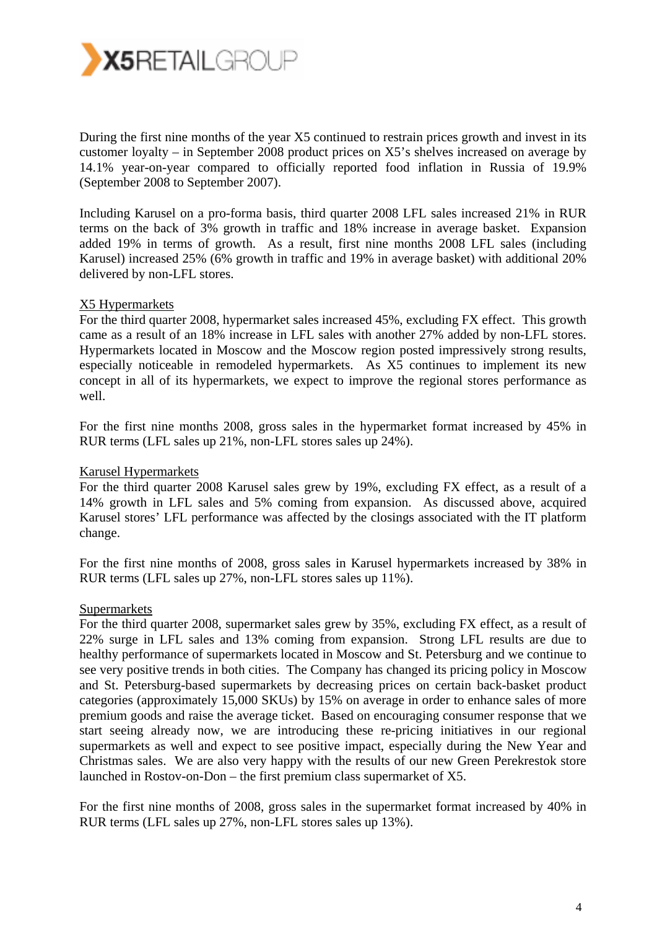

During the first nine months of the year X5 continued to restrain prices growth and invest in its customer loyalty – in September 2008 product prices on X5's shelves increased on average by 14.1% year-on-year compared to officially reported food inflation in Russia of 19.9% (September 2008 to September 2007).

Including Karusel on a pro-forma basis, third quarter 2008 LFL sales increased 21% in RUR terms on the back of 3% growth in traffic and 18% increase in average basket. Expansion added 19% in terms of growth. As a result, first nine months 2008 LFL sales (including Karusel) increased 25% (6% growth in traffic and 19% in average basket) with additional 20% delivered by non-LFL stores.

#### X5 Hypermarkets

For the third quarter 2008, hypermarket sales increased 45%, excluding FX effect. This growth came as a result of an 18% increase in LFL sales with another 27% added by non-LFL stores. Hypermarkets located in Moscow and the Moscow region posted impressively strong results, especially noticeable in remodeled hypermarkets. As X5 continues to implement its new concept in all of its hypermarkets, we expect to improve the regional stores performance as well.

For the first nine months 2008, gross sales in the hypermarket format increased by 45% in RUR terms (LFL sales up 21%, non-LFL stores sales up 24%).

#### Karusel Hypermarkets

For the third quarter 2008 Karusel sales grew by 19%, excluding FX effect, as a result of a 14% growth in LFL sales and 5% coming from expansion. As discussed above, acquired Karusel stores' LFL performance was affected by the closings associated with the IT platform change.

For the first nine months of 2008, gross sales in Karusel hypermarkets increased by 38% in RUR terms (LFL sales up 27%, non-LFL stores sales up 11%).

#### **Supermarkets**

For the third quarter 2008, supermarket sales grew by 35%, excluding FX effect, as a result of 22% surge in LFL sales and 13% coming from expansion. Strong LFL results are due to healthy performance of supermarkets located in Moscow and St. Petersburg and we continue to see very positive trends in both cities. The Company has changed its pricing policy in Moscow and St. Petersburg-based supermarkets by decreasing prices on certain back-basket product categories (approximately 15,000 SKUs) by 15% on average in order to enhance sales of more premium goods and raise the average ticket. Based on encouraging consumer response that we start seeing already now, we are introducing these re-pricing initiatives in our regional supermarkets as well and expect to see positive impact, especially during the New Year and Christmas sales. We are also very happy with the results of our new Green Perekrestok store launched in Rostov-on-Don – the first premium class supermarket of X5.

For the first nine months of 2008, gross sales in the supermarket format increased by 40% in RUR terms (LFL sales up 27%, non-LFL stores sales up 13%).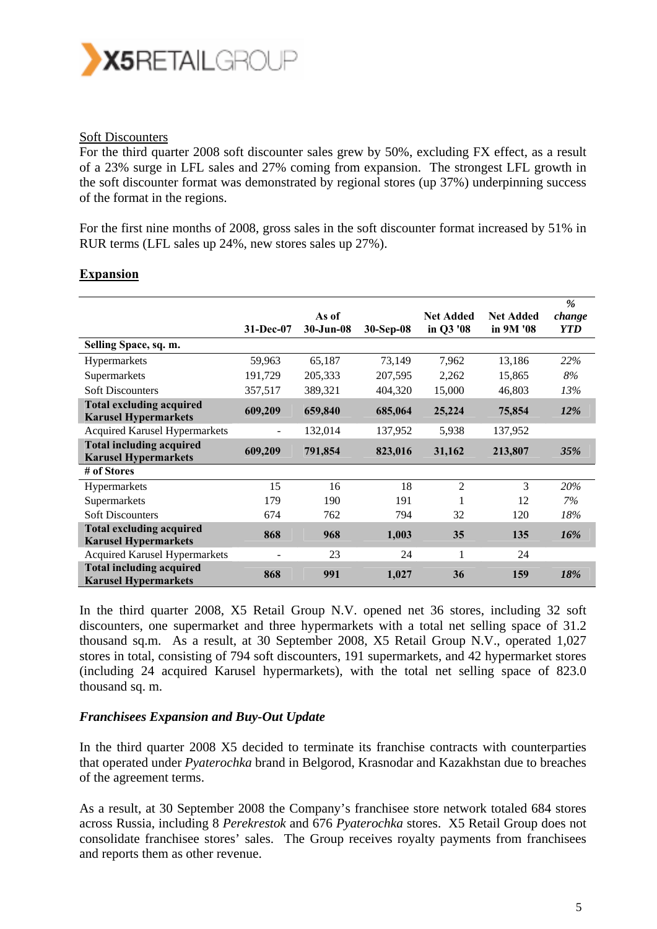

#### Soft Discounters

For the third quarter 2008 soft discounter sales grew by 50%, excluding FX effect, as a result of a 23% surge in LFL sales and 27% coming from expansion. The strongest LFL growth in the soft discounter format was demonstrated by regional stores (up 37%) underpinning success of the format in the regions.

For the first nine months of 2008, gross sales in the soft discounter format increased by 51% in RUR terms (LFL sales up 24%, new stores sales up 27%).

|                                                                |           | As of     |           | <b>Net Added</b> | <b>Net Added</b> | %<br>change |
|----------------------------------------------------------------|-----------|-----------|-----------|------------------|------------------|-------------|
|                                                                | 31-Dec-07 | 30-Jun-08 | 30-Sep-08 | in Q3 '08        | in 9M '08        | <b>YTD</b>  |
| Selling Space, sq. m.                                          |           |           |           |                  |                  |             |
| Hypermarkets                                                   | 59,963    | 65,187    | 73,149    | 7,962            | 13,186           | 22%         |
| Supermarkets                                                   | 191,729   | 205,333   | 207,595   | 2,262            | 15,865           | 8%          |
| <b>Soft Discounters</b>                                        | 357,517   | 389,321   | 404,320   | 15,000           | 46,803           | 13%         |
| <b>Total excluding acquired</b><br><b>Karusel Hypermarkets</b> | 609,209   | 659,840   | 685,064   | 25,224           | 75,854           | <b>12%</b>  |
| <b>Acquired Karusel Hypermarkets</b>                           |           | 132,014   | 137,952   | 5,938            | 137,952          |             |
| <b>Total including acquired</b><br><b>Karusel Hypermarkets</b> | 609,209   | 791,854   | 823,016   | 31,162           | 213,807          | <b>35%</b>  |
| # of Stores                                                    |           |           |           |                  |                  |             |
| Hypermarkets                                                   | 15        | 16        | 18        | $\overline{2}$   | 3                | 20%         |
| Supermarkets                                                   | 179       | 190       | 191       |                  | 12               | 7%          |
| <b>Soft Discounters</b>                                        | 674       | 762       | 794       | 32               | 120              | 18%         |
| <b>Total excluding acquired</b><br><b>Karusel Hypermarkets</b> | 868       | 968       | 1,003     | 35               | 135              | $16\%$      |
| <b>Acquired Karusel Hypermarkets</b>                           |           | 23        | 24        | 1                | 24               |             |
| <b>Total including acquired</b><br><b>Karusel Hypermarkets</b> | 868       | 991       | 1,027     | 36               | 159              | 18%         |

#### **Expansion**

In the third quarter 2008, X5 Retail Group N.V. opened net 36 stores, including 32 soft discounters, one supermarket and three hypermarkets with a total net selling space of 31.2 thousand sq.m. As a result, at 30 September 2008, X5 Retail Group N.V., operated 1,027 stores in total, consisting of 794 soft discounters, 191 supermarkets, and 42 hypermarket stores (including 24 acquired Karusel hypermarkets), with the total net selling space of 823.0 thousand sq. m.

#### *Franchisees Expansion and Buy-Out Update*

In the third quarter 2008 X5 decided to terminate its franchise contracts with counterparties that operated under *Pyaterochka* brand in Belgorod, Krasnodar and Kazakhstan due to breaches of the agreement terms.

As a result, at 30 September 2008 the Company's franchisee store network totaled 684 stores across Russia, including 8 *Perekrestok* and 676 *Pyaterochka* stores. X5 Retail Group does not consolidate franchisee stores' sales. The Group receives royalty payments from franchisees and reports them as other revenue.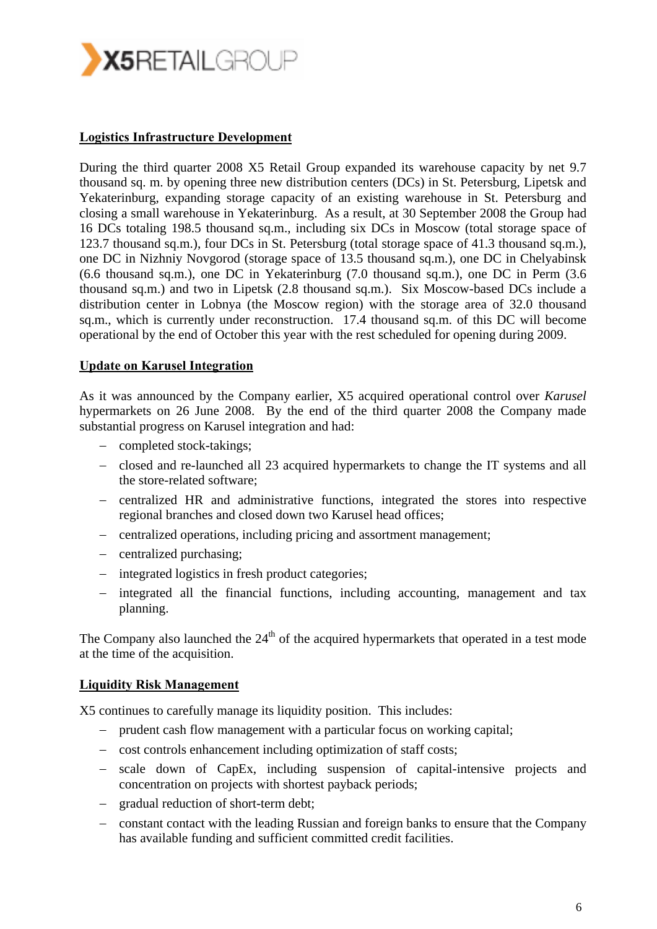

#### **Logistics Infrastructure Development**

During the third quarter 2008 X5 Retail Group expanded its warehouse capacity by net 9.7 thousand sq. m. by opening three new distribution centers (DCs) in St. Petersburg, Lipetsk and Yekaterinburg, expanding storage capacity of an existing warehouse in St. Petersburg and closing a small warehouse in Yekaterinburg. As a result, at 30 September 2008 the Group had 16 DCs totaling 198.5 thousand sq.m., including six DCs in Moscow (total storage space of 123.7 thousand sq.m.), four DCs in St. Petersburg (total storage space of 41.3 thousand sq.m.), one DC in Nizhniy Novgorod (storage space of 13.5 thousand sq.m.), one DC in Chelyabinsk (6.6 thousand sq.m.), one DC in Yekaterinburg (7.0 thousand sq.m.), one DC in Perm (3.6 thousand sq.m.) and two in Lipetsk (2.8 thousand sq.m.). Six Moscow-based DCs include a distribution center in Lobnya (the Moscow region) with the storage area of 32.0 thousand sq.m., which is currently under reconstruction. 17.4 thousand sq.m. of this DC will become operational by the end of October this year with the rest scheduled for opening during 2009.

#### **Update on Karusel Integration**

As it was announced by the Company earlier, X5 acquired operational control over *Karusel* hypermarkets on 26 June 2008. By the end of the third quarter 2008 the Company made substantial progress on Karusel integration and had:

- − completed stock-takings;
- − closed and re-launched all 23 acquired hypermarkets to change the IT systems and all the store-related software;
- − centralized HR and administrative functions, integrated the stores into respective regional branches and closed down two Karusel head offices;
- − centralized operations, including pricing and assortment management;
- − centralized purchasing;
- − integrated logistics in fresh product categories;
- − integrated all the financial functions, including accounting, management and tax planning.

The Company also launched the  $24<sup>th</sup>$  of the acquired hypermarkets that operated in a test mode at the time of the acquisition.

#### **Liquidity Risk Management**

X5 continues to carefully manage its liquidity position. This includes:

- − prudent cash flow management with a particular focus on working capital;
- − cost controls enhancement including optimization of staff costs;
- − scale down of CapEx, including suspension of capital-intensive projects and concentration on projects with shortest payback periods;
- − gradual reduction of short-term debt;
- − constant contact with the leading Russian and foreign banks to ensure that the Company has available funding and sufficient committed credit facilities.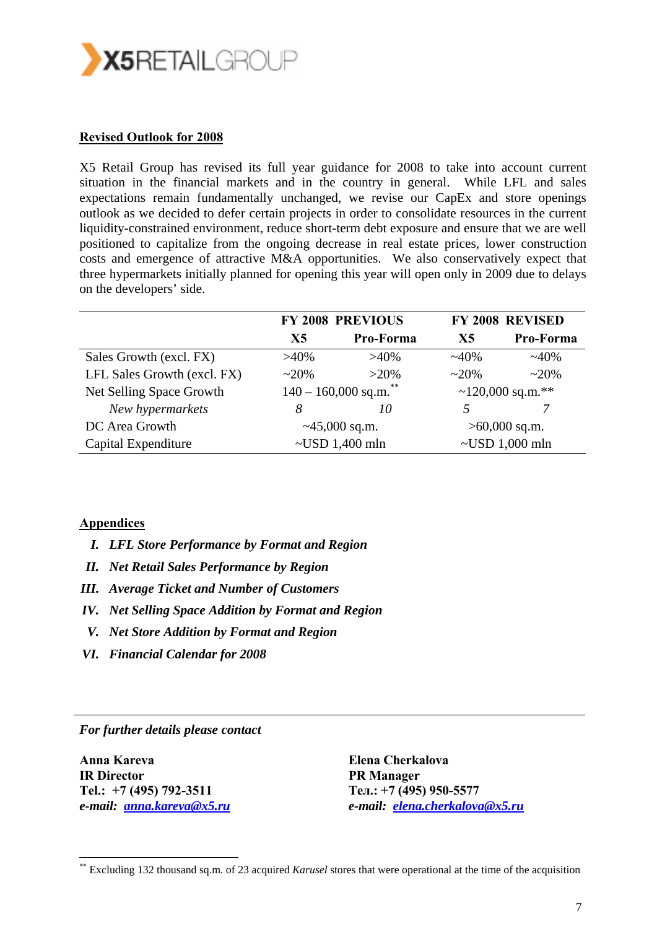

#### **Revised Outlook for 2008**

X5 Retail Group has revised its full year guidance for 2008 to take into account current situation in the financial markets and in the country in general. While LFL and sales expectations remain fundamentally unchanged, we revise our CapEx and store openings outlook as we decided to defer certain projects in order to consolidate resources in the current liquidity-constrained environment, reduce short-term debt exposure and ensure that we are well positioned to capitalize from the ongoing decrease in real estate prices, lower construction costs and emergence of attractive M&A opportunities. We also conservatively expect that three hypermarkets initially planned for opening this year will open only in 2009 due to delays on the developers' side.

|                             |                  | <b>FY 2008 PREVIOUS</b>     | <b>FY 2008 REVISED</b> |                      |  |
|-----------------------------|------------------|-----------------------------|------------------------|----------------------|--|
|                             | X <sub>5</sub>   | Pro-Forma                   | X <sub>5</sub>         | Pro-Forma            |  |
| Sales Growth (excl. FX)     | $>40\%$          | $>40\%$                     | $~140\%$               | $~140\%$             |  |
| LFL Sales Growth (excl. FX) | $~20\%$          | $>20\%$                     | $~20\%$                | $~20\%$              |  |
| Net Selling Space Growth    |                  | **<br>$140 - 160,000$ sq.m. |                        | ~120,000 sq.m.**     |  |
| New hypermarkets            | 8                | 10                          | 5                      |                      |  |
| DC Area Growth              | $~145,000$ sq.m. |                             | $>60,000$ sq.m.        |                      |  |
| Capital Expenditure         |                  | $\sim$ USD 1,400 mln        |                        | $\sim$ USD 1,000 mln |  |

#### **Appendices**

- *I. LFL Store Performance by Format and Region*
- *II. Net Retail Sales Performance by Region*
- *III. Average Ticket and Number of Customers*
- *IV. Net Selling Space Addition by Format and Region*
- *V. Net Store Addition by Format and Region*
- *VI. Financial Calendar for 2008*

*For further details please contact* 

**Anna Kareva IR Director Tel.: +7 (495) 792-3511**  *e-mail: anna.kareva@x5.ru*

-

**Elena Cherkalova PR Manager Тел.: +7 (495) 950-5577**  *e-mail: elena.cherkalova@x5.ru* 

<sup>\*\*</sup> Excluding 132 thousand sq.m. of 23 acquired *Karusel* stores that were operational at the time of the acquisition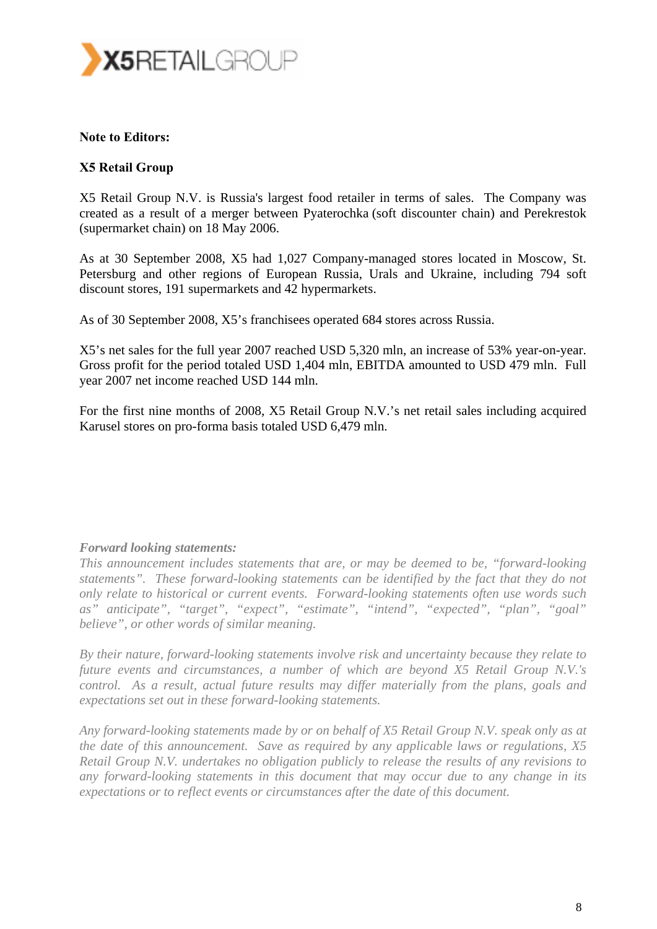

#### **Note to Editors:**

#### **X5 Retail Group**

X5 Retail Group N.V. is Russia's largest food retailer in terms of sales. The Company was created as a result of a merger between Pyaterochka (soft discounter chain) and Perekrestok (supermarket chain) on 18 May 2006.

As at 30 September 2008, X5 had 1,027 Company-managed stores located in Moscow, St. Petersburg and other regions of European Russia, Urals and Ukraine, including 794 soft discount stores, 191 supermarkets and 42 hypermarkets.

As of 30 September 2008, X5's franchisees operated 684 stores across Russia.

X5's net sales for the full year 2007 reached USD 5,320 mln, an increase of 53% year-on-year. Gross profit for the period totaled USD 1,404 mln, EBITDA amounted to USD 479 mln. Full year 2007 net income reached USD 144 mln.

For the first nine months of 2008, X5 Retail Group N.V.'s net retail sales including acquired Karusel stores on pro-forma basis totaled USD 6,479 mln.

#### *Forward looking statements:*

*This announcement includes statements that are, or may be deemed to be, "forward-looking statements". These forward-looking statements can be identified by the fact that they do not only relate to historical or current events. Forward-looking statements often use words such as" anticipate", "target", "expect", "estimate", "intend", "expected", "plan", "goal" believe", or other words of similar meaning.* 

*By their nature, forward-looking statements involve risk and uncertainty because they relate to future events and circumstances, a number of which are beyond X5 Retail Group N.V.'s control. As a result, actual future results may differ materially from the plans, goals and expectations set out in these forward-looking statements.* 

*Any forward-looking statements made by or on behalf of X5 Retail Group N.V. speak only as at the date of this announcement. Save as required by any applicable laws or regulations, X5 Retail Group N.V. undertakes no obligation publicly to release the results of any revisions to any forward-looking statements in this document that may occur due to any change in its expectations or to reflect events or circumstances after the date of this document.*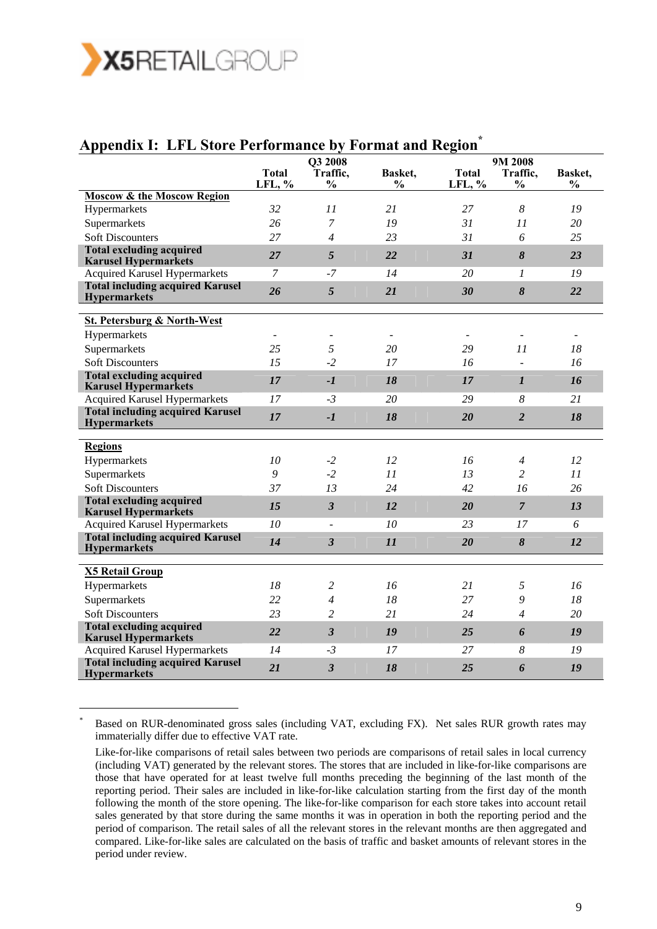

-

## Appendix I: LFL Store Performance by Format and Region<sup>\*</sup>

|                                                                | <b>Total</b> | Q3 2008<br>Traffic,     |                                 | <b>Total</b> | 9M 2008<br>Traffic,              |                          |
|----------------------------------------------------------------|--------------|-------------------------|---------------------------------|--------------|----------------------------------|--------------------------|
|                                                                | LFL, %       | $\frac{0}{0}$           | <b>Basket,</b><br>$\frac{0}{0}$ | LFL, %       | $\frac{0}{0}$                    | Basket.<br>$\frac{0}{0}$ |
| <b>Moscow &amp; the Moscow Region</b>                          |              |                         |                                 |              |                                  |                          |
| Hypermarkets                                                   | 32           | 11                      | 21                              | 27           | 8                                | 19                       |
| Supermarkets                                                   | 26           | $\overline{7}$          | 19                              | 31           | 11                               | 20                       |
| <b>Soft Discounters</b>                                        | 27           | $\overline{4}$          | 23                              | 31           | 6                                | 25                       |
| <b>Total excluding acquired</b><br><b>Karusel Hypermarkets</b> | 27           | 5                       | 22                              | 31           | 8                                | 23                       |
| <b>Acquired Karusel Hypermarkets</b>                           | 7            | -7                      | 14                              | 20           | $\mathcal{I}$                    | 19                       |
| <b>Total including acquired Karusel</b><br><b>Hypermarkets</b> | 26           | 5                       | 21                              | 30           | 8                                | 22                       |
| <b>St. Petersburg &amp; North-West</b>                         |              |                         |                                 |              |                                  |                          |
| Hypermarkets                                                   |              |                         | $\overline{\phantom{a}}$        |              |                                  | $\overline{\phantom{a}}$ |
| Supermarkets                                                   | 25           | 5                       | 20                              | 29           | 11                               | 18                       |
| <b>Soft Discounters</b>                                        | 15           | $-2$                    | 17                              | 16           | $\overline{a}$                   | 16                       |
| <b>Total excluding acquired</b><br><b>Karusel Hypermarkets</b> | 17           | $-1$                    | 18                              | 17           | $\boldsymbol{l}$                 | 16                       |
| <b>Acquired Karusel Hypermarkets</b>                           | 17           | $-3$                    | 20                              | 29           | 8                                | 21                       |
| <b>Total including acquired Karusel</b><br><b>Hypermarkets</b> | 17           | $-1$                    | 18                              | 20           | $\overline{2}$                   | 18                       |
|                                                                |              |                         |                                 |              |                                  |                          |
| <b>Regions</b>                                                 |              |                         |                                 |              |                                  |                          |
| Hypermarkets                                                   | 10<br>9      | $-2$<br>$-2$            | 12                              | 16<br>13     | $\overline{4}$<br>$\overline{c}$ | 12<br>11                 |
| Supermarkets<br><b>Soft Discounters</b>                        | 37           | 13                      | 11<br>24                        | 42           | 16                               | 26                       |
| <b>Total excluding acquired</b>                                |              |                         |                                 |              |                                  |                          |
| <b>Karusel Hypermarkets</b>                                    | 15           | $\overline{\mathbf{3}}$ | 12                              | 20           | $\overline{7}$                   | 13                       |
| <b>Acquired Karusel Hypermarkets</b>                           | 10           |                         | 10                              | 23           | 17                               | 6                        |
| <b>Total including acquired Karusel</b><br><b>Hypermarkets</b> | 14           | $\overline{\mathbf{3}}$ | 11                              | 20           | 8                                | <i>12</i>                |
|                                                                |              |                         |                                 |              |                                  |                          |
| <b>X5 Retail Group</b>                                         |              |                         |                                 |              |                                  |                          |
| Hypermarkets                                                   | 18           | 2                       | 16                              | 21           | 5                                | 16                       |
| Supermarkets                                                   | 22           | 4                       | 18                              | 27           | 9                                | 18                       |
| <b>Soft Discounters</b>                                        | 23           | $\overline{c}$          | 21                              | 24           | $\overline{A}$                   | 20                       |
| <b>Total excluding acquired</b><br><b>Karusel Hypermarkets</b> | 22           | $\overline{\mathbf{3}}$ | 19                              | 25           | 6                                | 19                       |
| Acquired Karusel Hypermarkets                                  | 14           | $-3$                    | 17                              | 27           | 8                                | 19                       |
| <b>Total including acquired Karusel</b><br><b>Hypermarkets</b> | 21           | $\overline{3}$          | 18                              | 25           | 6                                | 19                       |

\* Based on RUR-denominated gross sales (including VAT, excluding FX). Net sales RUR growth rates may immaterially differ due to effective VAT rate.

Like-for-like comparisons of retail sales between two periods are comparisons of retail sales in local currency (including VAT) generated by the relevant stores. The stores that are included in like-for-like comparisons are those that have operated for at least twelve full months preceding the beginning of the last month of the reporting period. Their sales are included in like-for-like calculation starting from the first day of the month following the month of the store opening. The like-for-like comparison for each store takes into account retail sales generated by that store during the same months it was in operation in both the reporting period and the period of comparison. The retail sales of all the relevant stores in the relevant months are then aggregated and compared. Like-for-like sales are calculated on the basis of traffic and basket amounts of relevant stores in the period under review.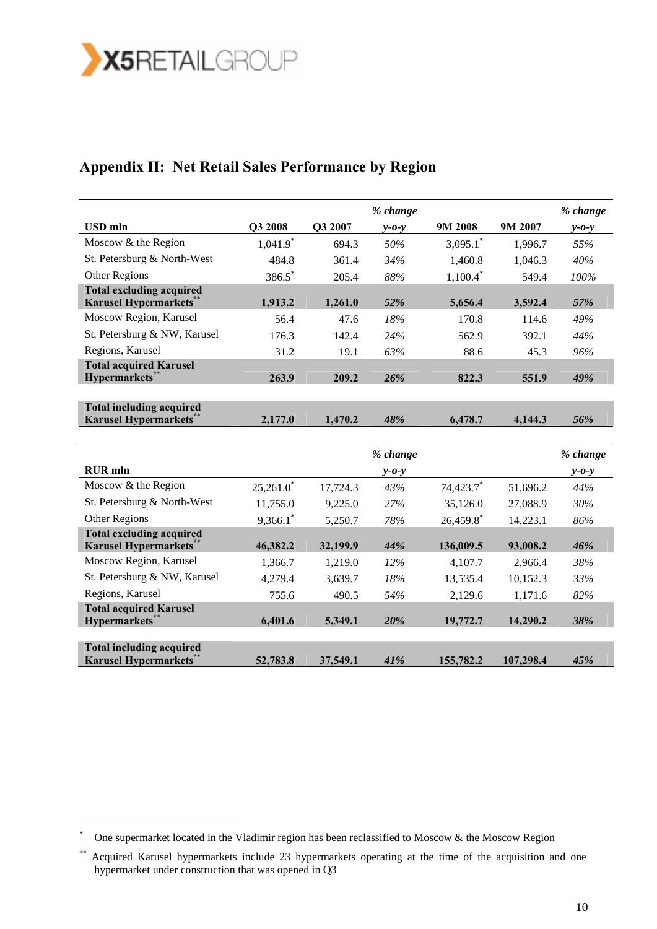

**Total acquired Karusel** 

**Total including acquired** 

-

## **Appendix II: Net Retail Sales Performance by Region**

|                                                                   |                        |          | % change                |                         |          | % change                |
|-------------------------------------------------------------------|------------------------|----------|-------------------------|-------------------------|----------|-------------------------|
| <b>USD</b> mln                                                    | Q3 2008                | Q3 2007  | $y - 0 - y$             | 9M 2008                 | 9M 2007  | $y - 0 - y$             |
| Moscow & the Region                                               | $1,041.9$ <sup>*</sup> | 694.3    | 50%                     | $3,095.1$ *             | 1,996.7  | 55%                     |
| St. Petersburg & North-West                                       | 484.8                  | 361.4    | 34%                     | 1,460.8                 | 1,046.3  | 40%                     |
| Other Regions                                                     | 386.5*                 | 205.4    | 88%                     | $1,100.4$ <sup>*</sup>  | 549.4    | 100%                    |
| <b>Total excluding acquired</b><br>Karusel Hypermarkets*          | 1,913.2                | 1,261.0  | 52%                     | 5,656.4                 | 3,592.4  | 57%                     |
| Moscow Region, Karusel                                            | 56.4                   | 47.6     | 18%                     | 170.8                   | 114.6    | 49%                     |
| St. Petersburg & NW, Karusel                                      | 176.3                  | 142.4    | 24%                     | 562.9                   | 392.1    | 44%                     |
| Regions, Karusel                                                  | 31.2                   | 19.1     | 63%                     | 88.6                    | 45.3     | 96%                     |
| <b>Total acquired Karusel</b><br>Hypermarkets**                   | 263.9                  | 209.2    | 26%                     | 822.3                   | 551.9    | 49%                     |
|                                                                   |                        |          |                         |                         |          |                         |
| <b>Total including acquired</b><br><b>Karusel Hypermarkets</b>    | 2,177.0                | 1,470.2  | 48%                     | 6,478.7                 | 4,144.3  | 56%                     |
| <b>RUR</b> mln                                                    |                        |          | % change<br>$y - 0 - y$ |                         |          | % change<br>$y - 0 - y$ |
| Moscow & the Region                                               | $25,261.0^*$           | 17,724.3 | 43%                     | 74,423.7                | 51,696.2 | 44%                     |
| St. Petersburg & North-West                                       | 11,755.0               | 9,225.0  | 27%                     | 35,126.0                | 27,088.9 | 30%                     |
| Other Regions                                                     | $9,366.1$ <sup>*</sup> | 5,250.7  | 78%                     | $26,459.8$ <sup>*</sup> | 14,223.1 | 86%                     |
| <b>Total excluding acquired</b><br><b>Karusel Hypermarkets</b> ** | 46,382.2               | 32,199.9 | 44%                     | 136,009.5               | 93,008.2 | 46%                     |
| Moscow Region, Karusel                                            | 1,366.7                | 1,219.0  | 12%                     | 4,107.7                 | 2,966.4  | 38%                     |
| St. Petersburg & NW, Karusel                                      | 4,279.4                | 3,639.7  | 18%                     | 13,535.4                | 10,152.3 | 33%                     |

Regions, Karusel 755.6 490.5 *54%* 2,129.6 1,171.6 *82%* 

**Hypermarkets\***\* **6,401.6 5,349.1** *20%* **19,772.7 14,290.2** *38%* 

**Karusel Hypermarkets\***\* **52,783.8 37,549.1** *41%* **155,782.2 107,298.4** *45%* 

One supermarket located in the Vladimir region has been reclassified to Moscow & the Moscow Region

<sup>\*\*</sup> Acquired Karusel hypermarkets include 23 hypermarkets operating at the time of the acquisition and one hypermarket under construction that was opened in Q3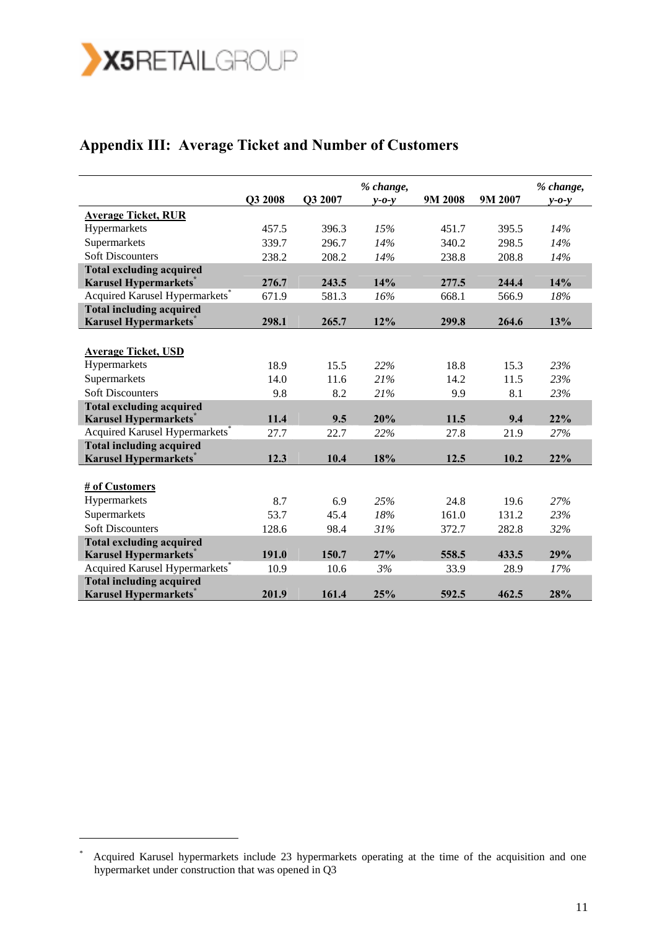

# **Appendix III: Average Ticket and Number of Customers**

|                                            | Q3 2008 | Q3 2007 | % change,<br>$v$ -0- $v$ | 9M 2008 | 9M 2007 | % change,<br>$y - 0 - y$ |
|--------------------------------------------|---------|---------|--------------------------|---------|---------|--------------------------|
| <b>Average Ticket, RUR</b>                 |         |         |                          |         |         |                          |
| Hypermarkets                               | 457.5   | 396.3   | 15%                      | 451.7   | 395.5   | 14%                      |
| Supermarkets                               | 339.7   | 296.7   | 14%                      | 340.2   | 298.5   | 14%                      |
| <b>Soft Discounters</b>                    | 238.2   | 208.2   | 14%                      | 238.8   | 208.8   | 14%                      |
| <b>Total excluding acquired</b>            |         |         |                          |         |         |                          |
| <b>Karusel Hypermarkets</b>                | 276.7   | 243.5   | 14%                      | 277.5   | 244.4   | 14%                      |
| Acquired Karusel Hypermarkets*             | 671.9   | 581.3   | 16%                      | 668.1   | 566.9   | 18%                      |
| <b>Total including acquired</b>            |         |         |                          |         |         |                          |
| <b>Karusel Hypermarkets</b>                | 298.1   | 265.7   | 12%                      | 299.8   | 264.6   | 13%                      |
|                                            |         |         |                          |         |         |                          |
| <b>Average Ticket, USD</b>                 |         |         |                          |         |         |                          |
| Hypermarkets                               | 18.9    | 15.5    | 22%                      | 18.8    | 15.3    | 23%                      |
| Supermarkets                               | 14.0    | 11.6    | 21%                      | 14.2    | 11.5    | 23%                      |
| <b>Soft Discounters</b>                    | 9.8     | 8.2     | 21%                      | 9.9     | 8.1     | 23%                      |
| <b>Total excluding acquired</b>            |         |         |                          |         |         |                          |
| <b>Karusel Hypermarkets</b>                | 11.4    | 9.5     | 20%                      | 11.5    | 9.4     | 22%                      |
| Acquired Karusel Hypermarkets <sup>*</sup> | 27.7    | 22.7    | 22%                      | 27.8    | 21.9    | 27%                      |
| <b>Total including acquired</b>            |         |         |                          |         |         |                          |
| <b>Karusel Hypermarkets</b>                | 12.3    | 10.4    | 18%                      | 12.5    | 10.2    | 22%                      |
|                                            |         |         |                          |         |         |                          |
| # of Customers                             |         |         |                          |         |         |                          |
| Hypermarkets                               | 8.7     | 6.9     | 25%                      | 24.8    | 19.6    | 27%                      |
| Supermarkets                               | 53.7    | 45.4    | 18%                      | 161.0   | 131.2   | 23%                      |
| <b>Soft Discounters</b>                    | 128.6   | 98.4    | 31%                      | 372.7   | 282.8   | 32%                      |
| <b>Total excluding acquired</b>            |         |         |                          |         |         |                          |
| <b>Karusel Hypermarkets</b>                | 191.0   | 150.7   | 27%                      | 558.5   | 433.5   | 29%                      |
| Acquired Karusel Hypermarkets*             | 10.9    | 10.6    | 3%                       | 33.9    | 28.9    | 17%                      |
| <b>Total including acquired</b>            |         |         |                          |         |         |                          |
| <b>Karusel Hypermarkets</b>                | 201.9   | 161.4   | 25%                      | 592.5   | 462.5   | 28%                      |

<sup>\*</sup> Acquired Karusel hypermarkets include 23 hypermarkets operating at the time of the acquisition and one hypermarket under construction that was opened in Q3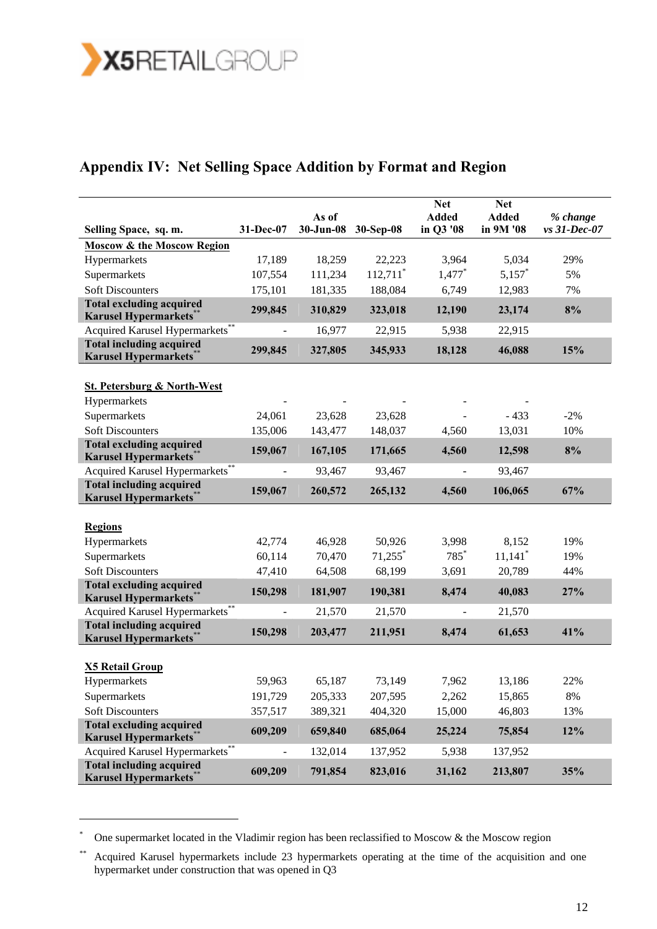

# **Appendix IV: Net Selling Space Addition by Format and Region**

|                                                                   |           |                    |                        | <b>Net</b>                | <b>Net</b>                |                          |
|-------------------------------------------------------------------|-----------|--------------------|------------------------|---------------------------|---------------------------|--------------------------|
| Selling Space, sq. m.                                             | 31-Dec-07 | As of<br>30-Jun-08 | 30-Sep-08              | <b>Added</b><br>in Q3 '08 | <b>Added</b><br>in 9M '08 | % change<br>vs 31-Dec-07 |
| <b>Moscow &amp; the Moscow Region</b>                             |           |                    |                        |                           |                           |                          |
| Hypermarkets                                                      | 17,189    | 18,259             | 22,223                 | 3,964                     | 5,034                     | 29%                      |
| Supermarkets                                                      | 107,554   | 111,234            | $112,711$ <sup>*</sup> | $1,477$ <sup>*</sup>      | $5,157$ *                 | 5%                       |
| <b>Soft Discounters</b>                                           | 175,101   | 181,335            | 188,084                | 6,749                     | 12,983                    | 7%                       |
| <b>Total excluding acquired</b><br><b>Karusel Hypermarkets</b> ** | 299,845   | 310,829            | 323,018                | 12,190                    | 23,174                    | 8%                       |
| Acquired Karusel Hypermarkets**                                   |           | 16,977             | 22,915                 | 5,938                     | 22,915                    |                          |
| <b>Total including acquired</b><br><b>Karusel Hypermarkets</b> *  | 299,845   | 327,805            | 345,933                | 18,128                    | 46,088                    | 15%                      |
| <b>St. Petersburg &amp; North-West</b>                            |           |                    |                        |                           |                           |                          |
| Hypermarkets                                                      |           |                    |                        |                           |                           |                          |
| Supermarkets                                                      | 24,061    | 23,628             | 23,628                 |                           | $-433$                    | $-2%$                    |
| <b>Soft Discounters</b>                                           | 135,006   | 143,477            | 148,037                | 4,560                     | 13,031                    | 10%                      |
| <b>Total excluding acquired</b><br><b>Karusel Hypermarkets</b> *  | 159,067   | 167,105            | 171,665                | 4,560                     | 12,598                    | 8%                       |
| Acquired Karusel Hypermarkets**                                   |           | 93,467             | 93,467                 |                           | 93,467                    |                          |
| <b>Total including acquired</b><br><b>Karusel Hypermarkets</b>    | 159,067   | 260,572            | 265,132                | 4,560                     | 106,065                   | 67%                      |
| <b>Regions</b>                                                    |           |                    |                        |                           |                           |                          |
| Hypermarkets                                                      | 42,774    | 46,928             | 50,926                 | 3,998                     | 8,152                     | 19%                      |
| Supermarkets                                                      | 60,114    | 70,470             | $71,255$ *             | $785*$                    | $11,141$ <sup>*</sup>     | 19%                      |
| <b>Soft Discounters</b>                                           | 47,410    | 64,508             | 68,199                 | 3,691                     | 20,789                    | 44%                      |
| <b>Total excluding acquired</b><br><b>Karusel Hypermarkets</b>    | 150,298   | 181,907            | 190,381                | 8,474                     | 40,083                    | 27%                      |
| Acquired Karusel Hypermarkets <sup>®</sup>                        |           | 21,570             | 21,570                 |                           | 21,570                    |                          |
| <b>Total including acquired</b><br><b>Karusel Hypermarkets</b>    | 150,298   | 203,477            | 211,951                | 8,474                     | 61,653                    | 41%                      |
|                                                                   |           |                    |                        |                           |                           |                          |
| <b>X5 Retail Group</b>                                            |           |                    |                        |                           |                           |                          |
| Hypermarkets                                                      | 59,963    | 65,187             | 73,149                 | 7,962                     | 13,186                    | 22%                      |
| Supermarkets                                                      | 191,729   | 205,333            | 207,595                | 2,262                     | 15,865                    | $8\%$                    |
| <b>Soft Discounters</b>                                           | 357,517   | 389,321            | 404,320                | 15,000                    | 46,803                    | 13%                      |
| <b>Total excluding acquired</b><br><b>Karusel Hypermarkets</b>    | 609,209   | 659,840            | 685,064                | 25,224                    | 75,854                    | 12%                      |
| Acquired Karusel Hypermarkets <sup>®</sup>                        |           | 132,014            | 137,952                | 5,938                     | 137,952                   |                          |
| <b>Total including acquired</b><br><b>Karusel Hypermarkets</b> *  | 609,209   | 791,854            | 823,016                | 31,162                    | 213,807                   | 35%                      |

One supermarket located in the Vladimir region has been reclassified to Moscow  $\&$  the Moscow region

<sup>\*\*</sup> Acquired Karusel hypermarkets include 23 hypermarkets operating at the time of the acquisition and one hypermarket under construction that was opened in Q3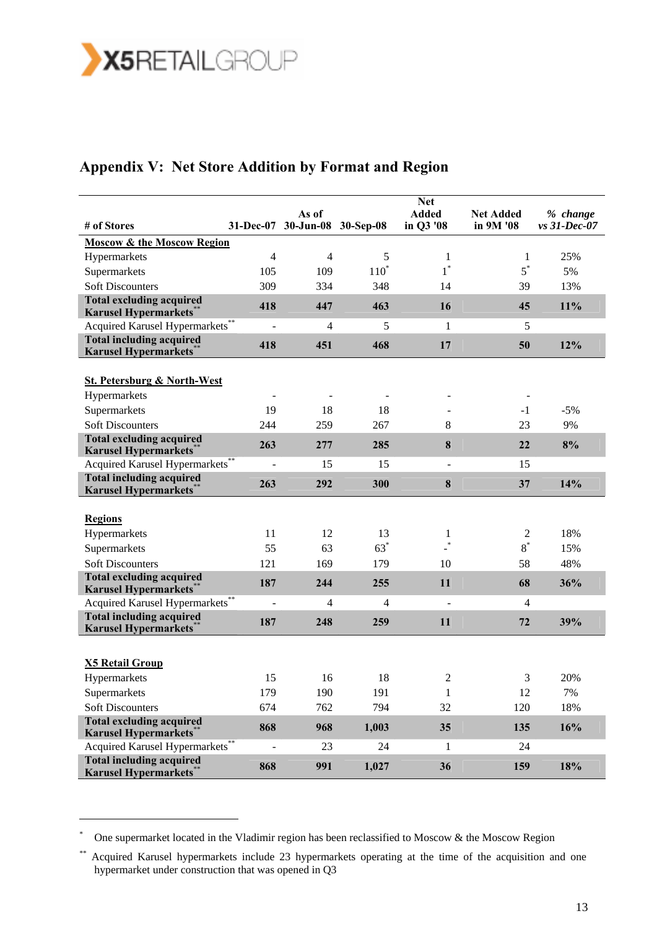

# **Appendix V: Net Store Addition by Format and Region**

|                                                                  |                          | As of               |         | <b>Net</b><br><b>Added</b> | <b>Net Added</b> | % change     |
|------------------------------------------------------------------|--------------------------|---------------------|---------|----------------------------|------------------|--------------|
| # of Stores                                                      | 31-Dec-07                | 30-Jun-08 30-Sep-08 |         | in Q3 '08                  | in 9M '08        | vs 31-Dec-07 |
| <b>Moscow &amp; the Moscow Region</b>                            |                          |                     |         |                            |                  |              |
| Hypermarkets                                                     | $\overline{4}$           | $\overline{4}$      | 5       | 1                          | 1                | 25%          |
| Supermarkets                                                     | 105                      | 109                 | $110^*$ | $1^*$                      | $5^*$            | 5%           |
| <b>Soft Discounters</b>                                          | 309                      | 334                 | 348     | 14                         | 39               | 13%          |
| <b>Total excluding acquired</b><br><b>Karusel Hypermarkets</b> * | 418                      | 447                 | 463     | 16                         | 45               | 11%          |
| Acquired Karusel Hypermarkets**                                  |                          | 4                   | 5       | 1                          | 5                |              |
| <b>Total including acquired</b><br><b>Karusel Hypermarkets</b>   | 418                      | 451                 | 468     | 17                         | 50               | 12%          |
| <b>St. Petersburg &amp; North-West</b>                           |                          |                     |         |                            |                  |              |
| Hypermarkets                                                     |                          |                     |         |                            |                  |              |
| Supermarkets                                                     | 19                       | 18                  | 18      |                            | $-1$             | $-5%$        |
| <b>Soft Discounters</b>                                          | 244                      | 259                 | 267     | 8                          | 23               | 9%           |
| <b>Total excluding acquired</b><br><b>Karusel Hypermarkets</b>   | 263                      | 277                 | 285     | 8                          | 22               | 8%           |
| Acquired Karusel Hypermarkets**                                  | ÷,                       | 15                  | 15      | $\blacksquare$             | 15               |              |
| <b>Total including acquired</b><br><b>Karusel Hypermarkets</b> * | 263                      | 292                 | 300     | 8                          | 37               | 14%          |
|                                                                  |                          |                     |         |                            |                  |              |
| <b>Regions</b>                                                   |                          |                     |         |                            |                  |              |
| Hypermarkets                                                     | 11                       | 12                  | 13      | 1                          | 2                | 18%          |
| Supermarkets                                                     | 55                       | 63                  | $63*$   | $\ast$                     | $8^*$            | 15%          |
| <b>Soft Discounters</b>                                          | 121                      | 169                 | 179     | 10                         | 58               | 48%          |
| <b>Total excluding acquired</b><br><b>Karusel Hypermarkets</b>   | 187                      | 244                 | 255     | 11                         | 68               | 36%          |
| Acquired Karusel Hypermarkets**                                  |                          | 4                   | 4       | $\overline{a}$             | 4                |              |
| <b>Total including acquired</b><br><b>Karusel Hypermarkets</b>   | 187                      | 248                 | 259     | 11                         | 72               | 39%          |
|                                                                  |                          |                     |         |                            |                  |              |
| <b>X5 Retail Group</b>                                           |                          |                     |         |                            |                  |              |
| Hypermarkets                                                     | 15                       | 16                  | 18      | $\overline{c}$             | 3                | 20%          |
| Supermarkets                                                     | 179                      | 190                 | 191     | 1                          | 12               | $7\%$        |
| <b>Soft Discounters</b>                                          | 674                      | 762                 | 794     | 32                         | 120              | 18%          |
| <b>Total excluding acquired</b><br><b>Karusel Hypermarkets*</b>  | 868                      | 968                 | 1,003   | 35                         | 135              | 16%          |
| Acquired Karusel Hypermarkets**                                  | $\overline{\phantom{a}}$ | 23                  | 24      | 1                          | 24               |              |
| <b>Total including acquired</b><br><b>Karusel Hypermarkets**</b> | 868                      | 991                 | 1,027   | 36                         | 159              | 18%          |

One supermarket located in the Vladimir region has been reclassified to Moscow & the Moscow Region

<sup>\*\*</sup> Acquired Karusel hypermarkets include 23 hypermarkets operating at the time of the acquisition and one hypermarket under construction that was opened in Q3